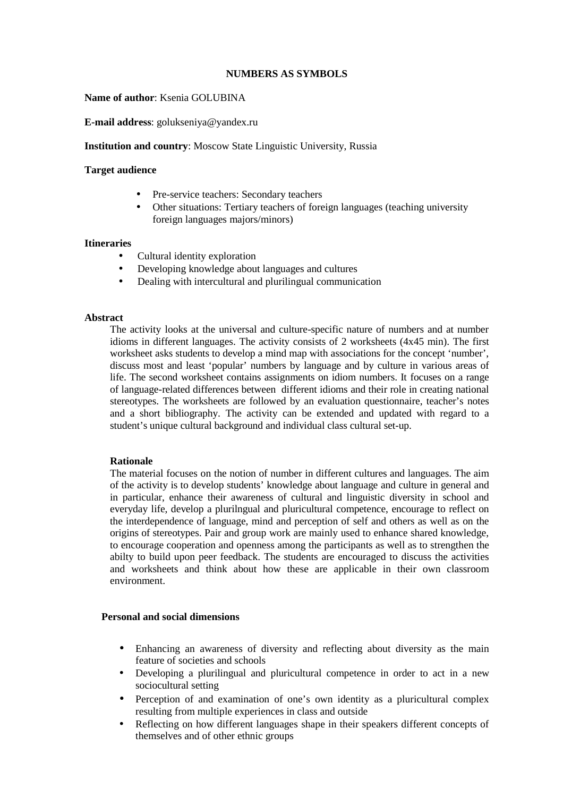# **NUMBERS AS SYMBOLS**

### **Name of author**: Ksenia GOLUBINA

**E-mail address**: golukseniya@yandex.ru

#### **Institution and country**: Moscow State Linguistic University, Russia

#### **Target audience**

- Pre-service teachers: Secondary teachers
- Other situations: Tertiary teachers of foreign languages (teaching university foreign languages majors/minors)

#### **Itineraries**

- Cultural identity exploration
- Developing knowledge about languages and cultures
- Dealing with intercultural and plurilingual communication

#### **Abstract**

The activity looks at the universal and culture-specific nature of numbers and at number idioms in different languages. The activity consists of 2 worksheets (4x45 min). The first worksheet asks students to develop a mind map with associations for the concept 'number', discuss most and least 'popular' numbers by language and by culture in various areas of life. The second worksheet contains assignments on idiom numbers. It focuses on a range of language-related differences between different idioms and their role in creating national stereotypes. The worksheets are followed by an evaluation questionnaire, teacher's notes and a short bibliography. The activity can be extended and updated with regard to a student's unique cultural background and individual class cultural set-up.

# **Rationale**

The material focuses on the notion of number in different cultures and languages. The aim of the activity is to develop students' knowledge about language and culture in general and in particular, enhance their awareness of cultural and linguistic diversity in school and everyday life, develop a plurilngual and pluricultural competence, encourage to reflect on the interdependence of language, mind and perception of self and others as well as on the origins of stereotypes. Pair and group work are mainly used to enhance shared knowledge, to encourage cooperation and openness among the participants as well as to strengthen the abilty to build upon peer feedback. The students are encouraged to discuss the activities and worksheets and think about how these are applicable in their own classroom environment.

#### **Personal and social dimensions**

- Enhancing an awareness of diversity and reflecting about diversity as the main feature of societies and schools
- Developing a plurilingual and pluricultural competence in order to act in a new sociocultural setting
- Perception of and examination of one's own identity as a pluricultural complex resulting from multiple experiences in class and outside
- Reflecting on how different languages shape in their speakers different concepts of themselves and of other ethnic groups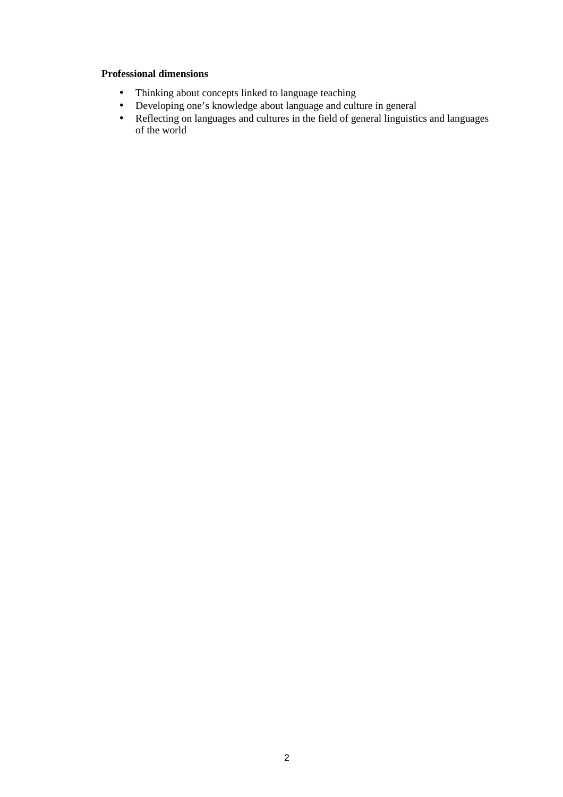# **Professional dimensions**

- Thinking about concepts linked to language teaching
- Developing one's knowledge about language and culture in general
- Reflecting on languages and cultures in the field of general linguistics and languages of the world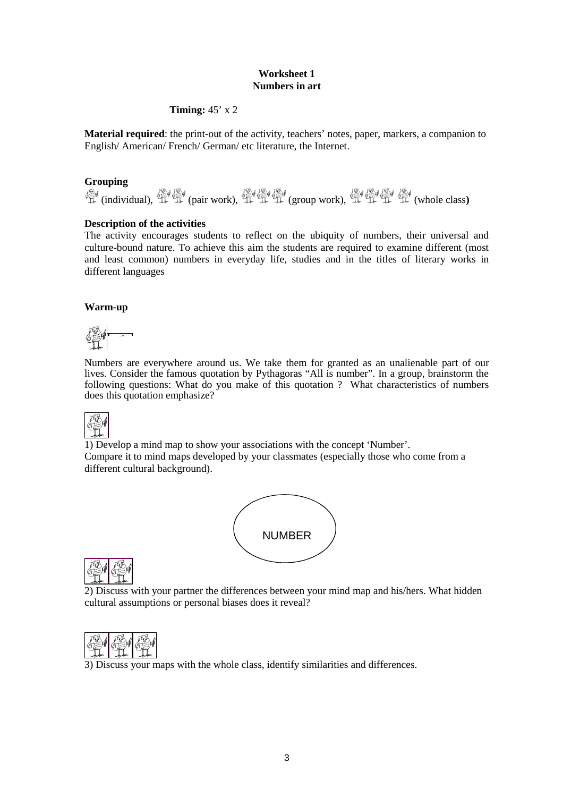# **Worksheet 1 Numbers in art**

# **Timing:** 45' x 2

**Material required**: the print-out of the activity, teachers' notes, paper, markers, a companion to English/ American/ French/ German/ etc literature, the Internet.

# **Grouping**

**《 (individual), 《 《 《 (pair work), 《 《 《 》《 (group work), 《 《 《 《 》《 《 《 》《 (whole class)** 

# **Description of the activities**

The activity encourages students to reflect on the ubiquity of numbers, their universal and culture-bound nature. To achieve this aim the students are required to examine different (most and least common) numbers in everyday life, studies and in the titles of literary works in different languages

# **Warm-up**

Numbers are everywhere around us. We take them for granted as an unalienable part of our lives. Consider the famous quotation by Pythagoras "All is number". In a group, brainstorm the following questions: What do you make of this quotation ? What characteristics of numbers does this quotation emphasize?



1) Develop a mind map to show your associations with the concept 'Number'. Compare it to mind maps developed by your classmates (especially those who come from a different cultural background).



|--|--|

2) Discuss with your partner the differences between your mind map and his/hers. What hidden cultural assumptions or personal biases does it reveal?



3) Discuss your maps with the whole class, identify similarities and differences.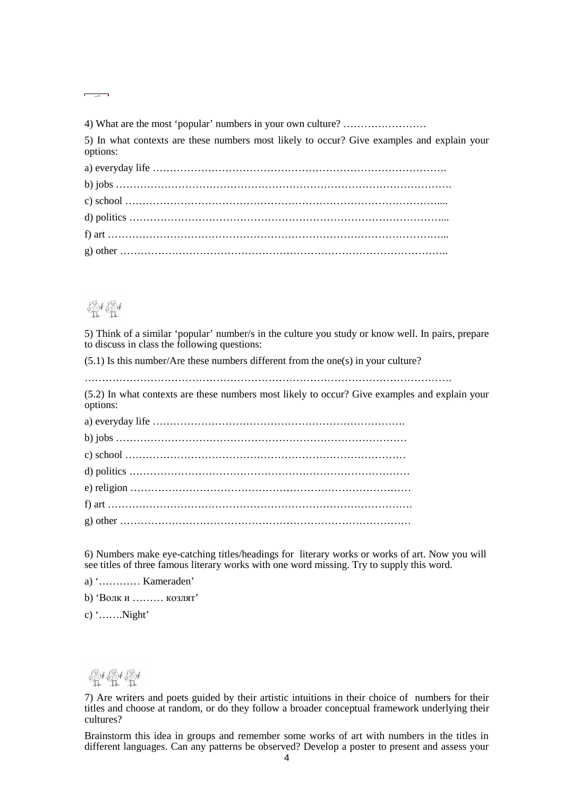4) What are the most 'popular' numbers in your own culture? ……………………

5) In what contexts are these numbers most likely to occur? Give examples and explain your options:

# 影學

5) Think of a similar 'popular' number/s in the culture you study or know well. In pairs, prepare to discuss in class the following questions:

(5.1) Is this number/Are these numbers different from the one(s) in your culture?

…………………………………………………………………………………………….

(5.2) In what contexts are these numbers most likely to occur? Give examples and explain your options:

6) Numbers make eye-catching titles/headings for literary works or works of art. Now you will see titles of three famous literary works with one word missing. Try to supply this word.

a) '………… Kameraden'

b) 'Волк и ……… козлят'

c) '…….Night'



7) Are writers and poets guided by their artistic intuitions in their choice of numbers for their titles and choose at random, or do they follow a broader conceptual framework underlying their cultures?

Brainstorm this idea in groups and remember some works of art with numbers in the titles in different languages. Can any patterns be observed? Develop a poster to present and assess your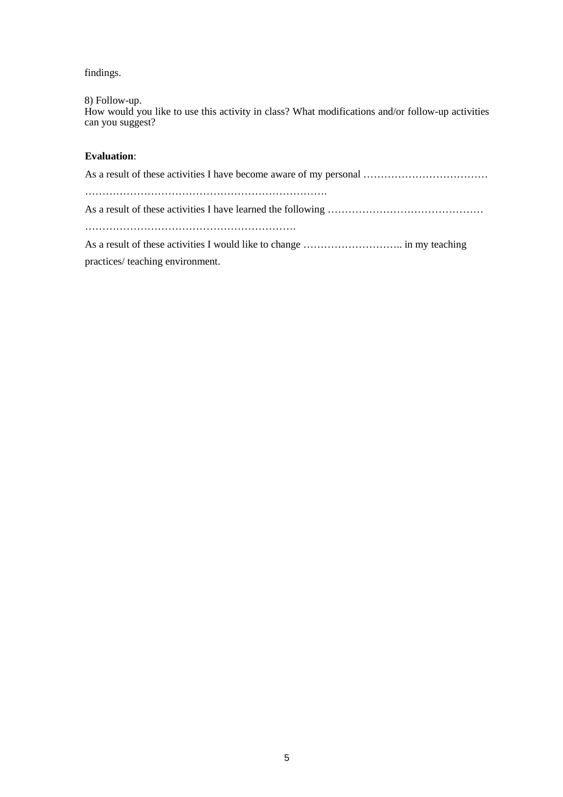findings.

8) Follow-up.

How would you like to use this activity in class? What modifications and/or follow-up activities can you suggest?

# **Evaluation**:

practices/ teaching environment.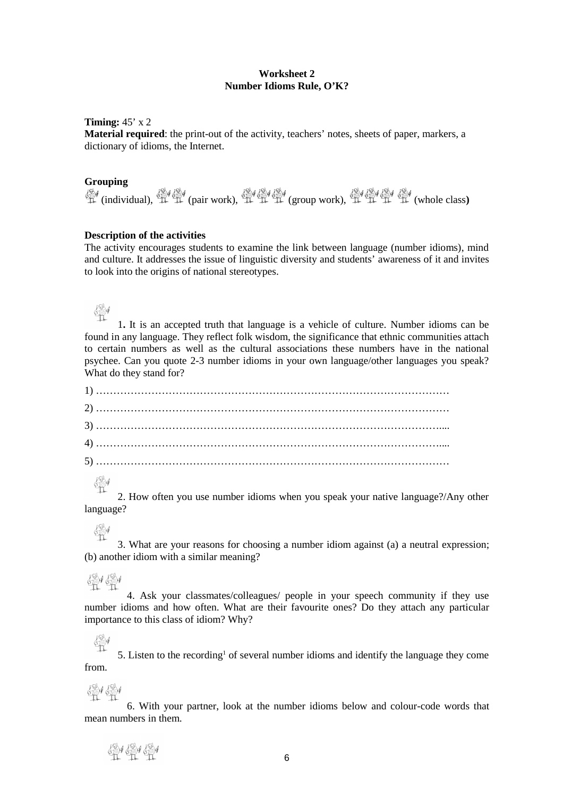#### **Worksheet 2 Number Idioms Rule, O'K?**

#### **Timing:** 45' x 2

**Material required**: the print-out of the activity, teachers' notes, sheets of paper, markers, a dictionary of idioms, the Internet.

# **Grouping**

**章** (individual), 章 章 (pair work), 章 章 章 (group work), 章 章 章 章 (whole class)

#### **Description of the activities**

The activity encourages students to examine the link between language (number idioms), mind and culture. It addresses the issue of linguistic diversity and students' awareness of it and invites to look into the origins of national stereotypes.

# 鼎

1**.** It is an accepted truth that language is a vehicle of culture. Number idioms can be found in any language. They reflect folk wisdom, the significance that ethnic communities attach to certain numbers as well as the cultural associations these numbers have in the national psychee. Can you quote 2-3 number idioms in your own language/other languages you speak? What do they stand for?

劉 2. How often you use number idioms when you speak your native language?/Any other language?

# $\frac{\sqrt{3}}{11}$

3. What are your reasons for choosing a number idiom against (a) a neutral expression; (b) another idiom with a similar meaning?

# 學學

4. Ask your classmates/colleagues/ people in your speech community if they use number idioms and how often. What are their favourite ones? Do they attach any particular importance to this class of idiom? Why?

靈 5. Listen to the recording<sup>1</sup> of several number idioms and identify the language they come from.

# 骨骨

6. With your partner, look at the number idioms below and colour-code words that mean numbers in them.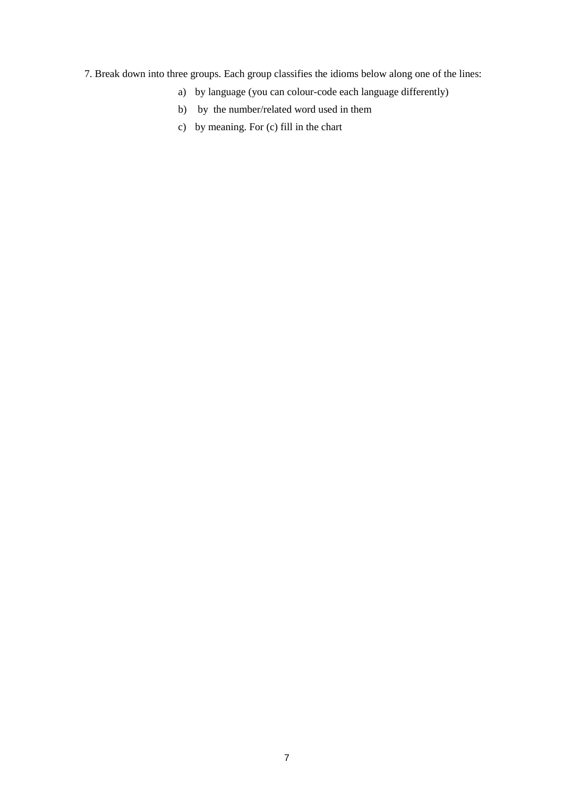7. Break down into three groups. Each group classifies the idioms below along one of the lines:

- a) by language (you can colour-code each language differently)
- b) by the number/related word used in them
- c) by meaning. For (c) fill in the chart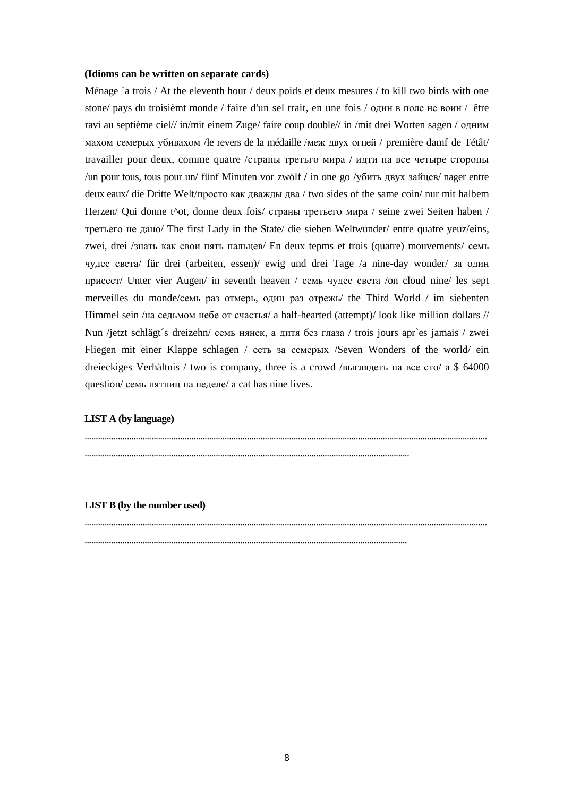#### (Idioms can be written on separate cards)

Ménage `a trois / At the eleventh hour / deux poids et deux mesures / to kill two birds with one stone/ pays du troisièmt monde / faire d'un sel trait, en une fois / один в поле не воин / être ravi au septième ciel// in/mit einem Zuge/ faire coup double// in /mit drei Worten sagen / одним махом семерых убивахом / le revers de la médaille / меж двух огней / première damf de Tétât/ travailler pour deux, comme quatre / страны третьго мира / идти на все четыре стороны /un pour tous, tous pour un/ fünf Minuten vor zwölf / in one go /yбить двух зайцев/ nager entre deux eaux/ die Dritte Welt/просто как дважды два / two sides of the same coin/ nur mit halbem Herzen/ Qui donne t^ot, donne deux fois/ страны третьего мира / seine zwei Seiten haben / третьего не дано/ The first Lady in the State/ die sieben Weltwunder/ entre quatre yeuz/eins, zwei, drei /знать как свои пять пальцев/ En deux tepms et trois (quatre) mouvements/ семь чудес света/ für drei (arbeiten, essen)/ ewig und drei Tage /a nine-day wonder/ за один присест/ Unter vier Augen/ in seventh heaven / семь чудес света /on cloud nine/ les sept merveilles du monde/семь раз отмерь, один раз отрежь/ the Third World / im siebenten Himmel sein /на седьмом небе от счастья/ a half-hearted (attempt)/ look like million dollars // Nun /jetzt schlägt's dreizehn/ семь нянек, а дитя без глаза / trois jours apr`es jamais / zwei Fliegen mit einer Klappe schlagen / есть за семерых /Seven Wonders of the world/ ein dreieckiges Verhältnis / two is company, three is a crowd /выглядеть на все сто/ а \$ 64000 question/ семь пятниц на неделе/ a cat has nine lives.

#### **LIST A (by language)**

#### **LIST B** (by the number used)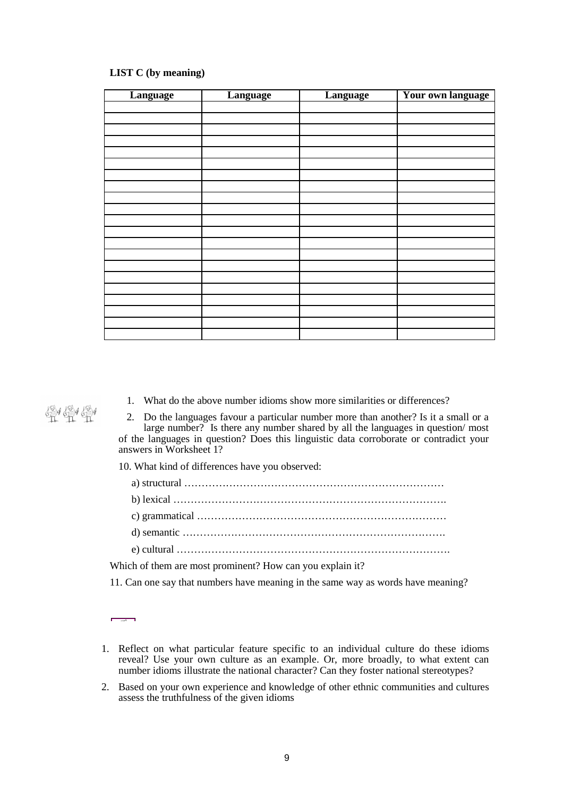## **LIST C (by meaning)**

| Language | Language | Language | Your own language |
|----------|----------|----------|-------------------|
|          |          |          |                   |
|          |          |          |                   |
|          |          |          |                   |
|          |          |          |                   |
|          |          |          |                   |
|          |          |          |                   |
|          |          |          |                   |
|          |          |          |                   |
|          |          |          |                   |
|          |          |          |                   |
|          |          |          |                   |
|          |          |          |                   |
|          |          |          |                   |
|          |          |          |                   |
|          |          |          |                   |
|          |          |          |                   |
|          |          |          |                   |
|          |          |          |                   |
|          |          |          |                   |
|          |          |          |                   |
|          |          |          |                   |

1. What do the above number idioms show more similarities or differences?

2. Do the languages favour a particular number more than another? Is it a small or a large number? Is there any number shared by all the languages in question/ most of the languages in question? Does this linguistic data corroborate or contradict your answers in Worksheet 1?

10. What kind of differences have you observed:

a) structural …………………………………………………………………

b) lexical …………………………………………………………………….

c) grammatical ………………………………………………………………

d) semantic ………………………………………………………………….

e) cultural …………………………………………………………………….

Which of them are most prominent? How can you explain it?

11. Can one say that numbers have meaning in the same way as words have meaning?

- 1. Reflect on what particular feature specific to an individual culture do these idioms reveal? Use your own culture as an example. Or, more broadly, to what extent can number idioms illustrate the national character? Can they foster national stereotypes?
- 2. Based on your own experience and knowledge of other ethnic communities and cultures assess the truthfulness of the given idioms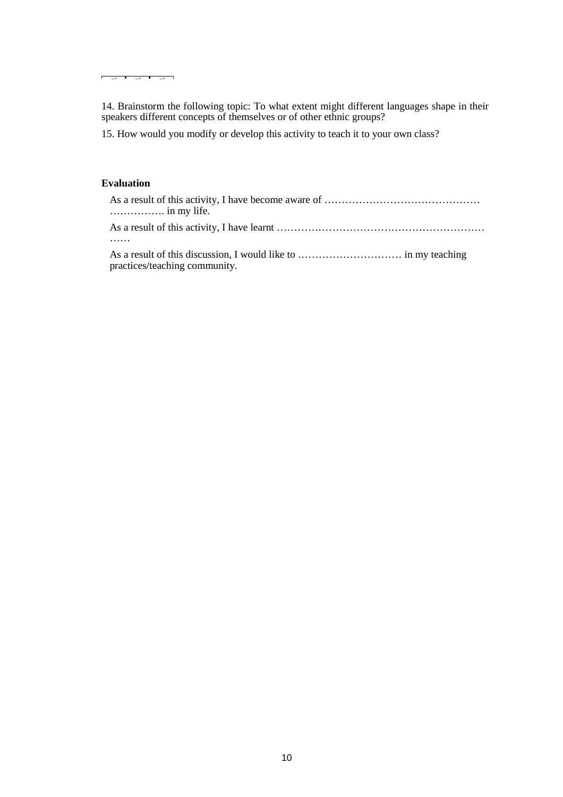14. Brainstorm the following topic: To what extent might different languages shape in their speakers different concepts of themselves or of other ethnic groups?

15. How would you modify or develop this activity to teach it to your own class?

# **Evaluation**

 $\mathbf{I}$ ÷

è

| practices/teaching community. |
|-------------------------------|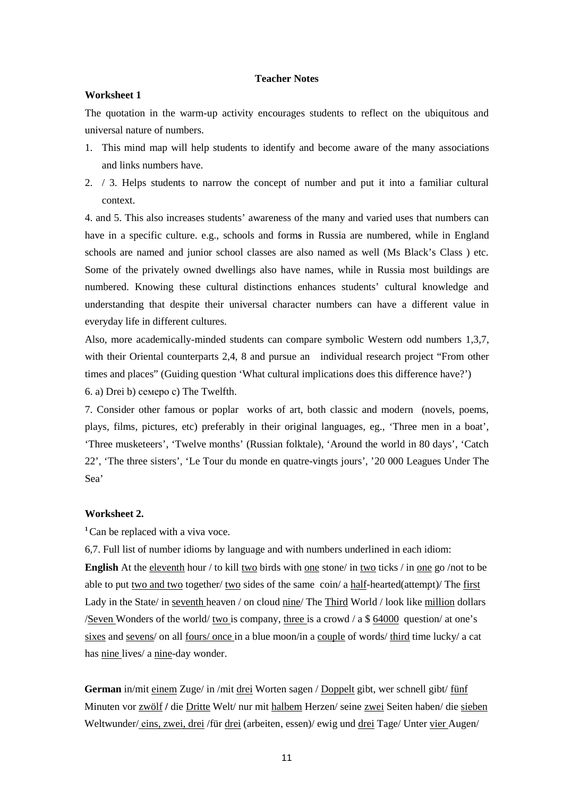#### **Teacher Notes**

#### **Worksheet 1**

The quotation in the warm-up activity encourages students to reflect on the ubiquitous and universal nature of numbers.

- 1. This mind map will help students to identify and become aware of the many associations and links numbers have.
- 2. / 3. Helps students to narrow the concept of number and put it into a familiar cultural context.

4. and 5. This also increases students' awareness of the many and varied uses that numbers can have in a specific culture. e.g., schools and form**s** in Russia are numbered, while in England schools are named and junior school classes are also named as well (Ms Black's Class ) etc. Some of the privately owned dwellings also have names, while in Russia most buildings are numbered. Knowing these cultural distinctions enhances students' cultural knowledge and understanding that despite their universal character numbers can have a different value in everyday life in different cultures.

Also, more academically-minded students can compare symbolic Western odd numbers 1,3,7, with their Oriental counterparts 2,4, 8 and pursue an individual research project "From other times and places" (Guiding question 'What cultural implications does this difference have?') 6. a) Drei b) семеро с) The Twelfth.

7. Consider other famous or poplar works of art, both classic and modern (novels, poems, plays, films, pictures, etc) preferably in their original languages, eg., 'Three men in a boat', 'Three musketeers', 'Twelve months' (Russian folktale), 'Around the world in 80 days', 'Catch 22', 'The three sisters', 'Le Tour du monde en quatre-vingts jours', '20 000 Leagues Under The Sea'

# **Worksheet 2.**

<sup>1</sup>Can be replaced with a viva voce.

6,7. Full list of number idioms by language and with numbers underlined in each idiom: **English** At the eleventh hour / to kill two birds with one stone/ in two ticks / in one go /not to be able to put two and two together/ two sides of the same coin/ a half-hearted(attempt)/ The first Lady in the State/ in seventh heaven / on cloud nine/ The Third World / look like million dollars /Seven Wonders of the world/ two is company, three is a crowd  $\alpha$  a \$ 64000 question/ at one's sixes and sevens/ on all fours/ once in a blue moon/in a couple of words/ third time lucky/ a cat has nine lives/ a nine-day wonder.

**German** in/mit einem Zuge/ in /mit drei Worten sagen / Doppelt gibt, wer schnell gibt/ fünf Minuten vor zwölf **/** die Dritte Welt/ nur mit halbem Herzen/ seine zwei Seiten haben/ die sieben Weltwunder/eins, zwei, drei /für drei (arbeiten, essen)/ ewig und drei Tage/ Unter vier Augen/